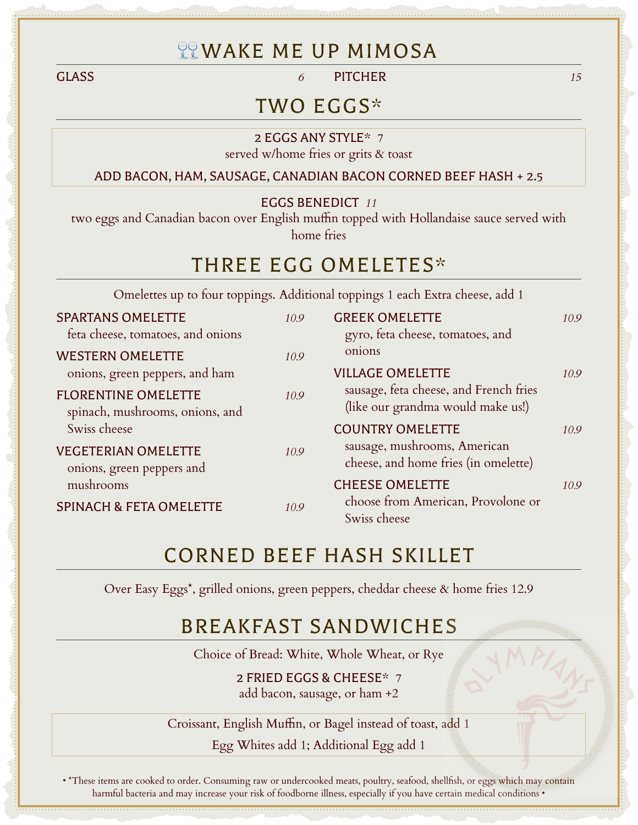## **TEWAKE ME UP MIMOSA**

GLASS *6* PITCHER *15*

### TWO EGGS\*

2 EGGS ANY STYLE\* *7* served w/home fries or grits & toast

ADD BACON, HAM, SAUSAGE, CANADIAN BACON CORNED BEEF HASH + 2.5

EGGS BENEDICT *11*

two eggs and Canadian bacon over English muffin topped with Hollandaise sauce served with home fries

### THREE EGG OMELETES\*

Omelettes up to four toppings. Additional toppings 1 each Extra cheese, add 1

| <b>SPARTANS OMELETTE</b><br>feta cheese, tomatoes, and onions | 10.9 | <b>GREEK OMELETTE</b><br>gyro, feta cheese, tomatoes, and                   | 10.9 |
|---------------------------------------------------------------|------|-----------------------------------------------------------------------------|------|
| <b>WESTERN OMELETTE</b><br>onions, green peppers, and ham     | 10.9 | onions<br><b>VILLAGE OMELETTE</b>                                           | 10.9 |
| <b>FLORENTINE OMELETTE</b><br>spinach, mushrooms, onions, and | 10.9 | sausage, feta cheese, and French fries<br>(like our grandma would make us!) |      |
| Swiss cheese                                                  |      | <b>COUNTRY OMELETTE</b>                                                     | 10.9 |
| <b>VEGETERIAN OMELETTE</b><br>onions, green peppers and       | 10.9 | sausage, mushrooms, American<br>cheese, and home fries (in omelette)        |      |
| mushrooms                                                     |      | <b>CHEESE OMELETTE</b>                                                      | 10.9 |
| <b>SPINACH &amp; FETA OMELETTE</b>                            | 10.9 | choose from American, Provolone or<br>Swiss cheese                          |      |

# CORNED BEEF HASH SKILLET

Over Easy Eggs\*, grilled onions, green peppers, cheddar cheese & home fries 12.9

## BREAKFAST SANDWICHES

Choice of Bread: White, Whole Wheat, or Rye

2 FRIED EGGS & CHEESE\* *7* add bacon, sausage, or ham +2

Croissant, English Muffin, or Bagel instead of toast, add 1

Egg Whites add 1; Additional Egg add 1

• \*These items are cooked to order. Consuming raw or undercooked meats, poultry, seafood, shellfish, or eggs which may contain harmful bacteria and may increase your risk of foodborne illness, especially if you have certain medical conditions •